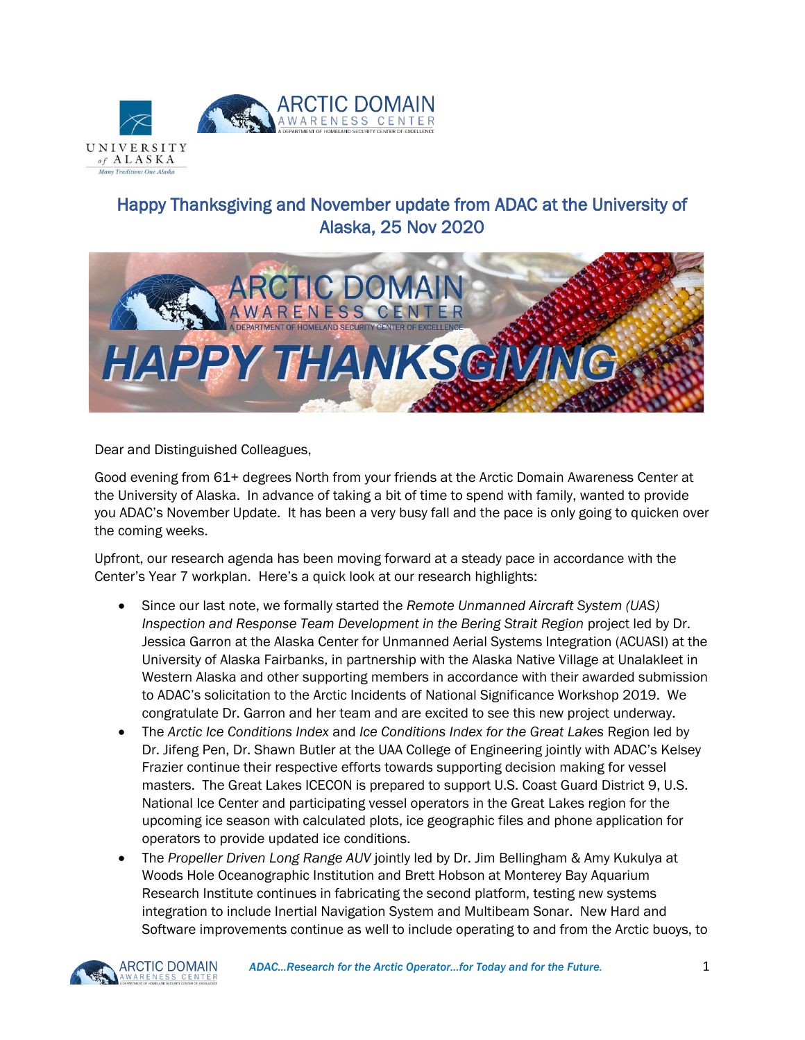

## Happy Thanksgiving and November update from ADAC at the University of Alaska, 25 Nov 2020



Dear and Distinguished Colleagues,

Good evening from 61+ degrees North from your friends at the Arctic Domain Awareness Center at the University of Alaska. In advance of taking a bit of time to spend with family, wanted to provide you ADAC's November Update. It has been a very busy fall and the pace is only going to quicken over the coming weeks.

Upfront, our research agenda has been moving forward at a steady pace in accordance with the Center's Year 7 workplan. Here's a quick look at our research highlights:

- Since our last note, we formally started the *Remote Unmanned Aircraft System (UAS) Inspection and Response Team Development in the Bering Strait Region* project led by Dr. Jessica Garron at the Alaska Center for Unmanned Aerial Systems Integration (ACUASI) at the University of Alaska Fairbanks, in partnership with the Alaska Native Village at Unalakleet in Western Alaska and other supporting members in accordance with their awarded submission to ADAC's solicitation to the Arctic Incidents of National Significance Workshop 2019. We congratulate Dr. Garron and her team and are excited to see this new project underway.
- The *Arctic Ice Conditions Index* and *Ice Conditions Index for the Great Lakes* Region led by Dr. Jifeng Pen, Dr. Shawn Butler at the UAA College of Engineering jointly with ADAC's Kelsey Frazier continue their respective efforts towards supporting decision making for vessel masters. The Great Lakes ICECON is prepared to support U.S. Coast Guard District 9, U.S. National Ice Center and participating vessel operators in the Great Lakes region for the upcoming ice season with calculated plots, ice geographic files and phone application for operators to provide updated ice conditions.
- The *Propeller Driven Long Range AUV* jointly led by Dr. Jim Bellingham & Amy Kukulya at Woods Hole Oceanographic Institution and Brett Hobson at Monterey Bay Aquarium Research Institute continues in fabricating the second platform, testing new systems integration to include Inertial Navigation System and Multibeam Sonar. New Hard and Software improvements continue as well to include operating to and from the Arctic buoys, to

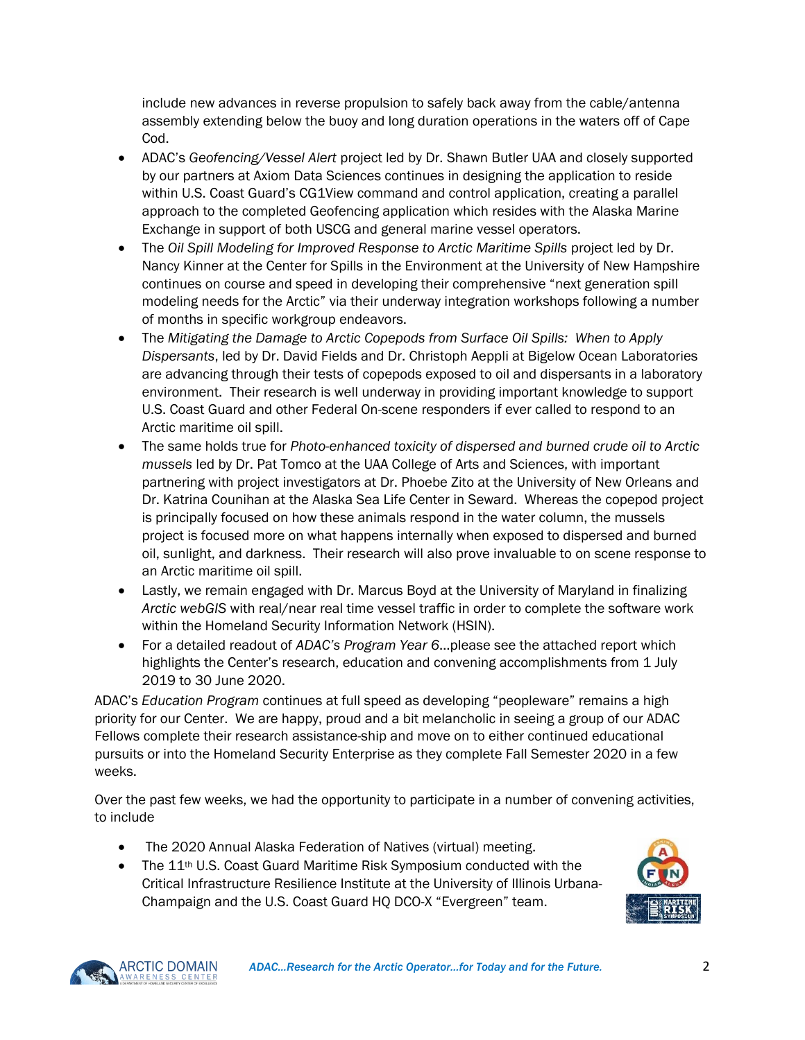include new advances in reverse propulsion to safely back away from the cable/antenna assembly extending below the buoy and long duration operations in the waters off of Cape Cod.

- ADAC's *Geofencing/Vessel Alert* project led by Dr. Shawn Butler UAA and closely supported by our partners at Axiom Data Sciences continues in designing the application to reside within U.S. Coast Guard's CG1View command and control application, creating a parallel approach to the completed Geofencing application which resides with the Alaska Marine Exchange in support of both USCG and general marine vessel operators.
- The *Oil Spill Modeling for Improved Response to Arctic Maritime Spills project led by Dr.* Nancy Kinner at the Center for Spills in the Environment at the University of New Hampshire continues on course and speed in developing their comprehensive "next generation spill modeling needs for the Arctic" via their underway integration workshops following a number of months in specific workgroup endeavors.
- The *Mitigating the Damage to Arctic Copepods from Surface Oil Spills: When to Apply Dispersants*, led by Dr. David Fields and Dr. Christoph Aeppli at Bigelow Ocean Laboratories are advancing through their tests of copepods exposed to oil and dispersants in a laboratory environment. Their research is well underway in providing important knowledge to support U.S. Coast Guard and other Federal On-scene responders if ever called to respond to an Arctic maritime oil spill.
- The same holds true for *Photo-enhanced toxicity of dispersed and burned crude oil to Arctic mussels* led by Dr. Pat Tomco at the UAA College of Arts and Sciences, with important partnering with project investigators at Dr. Phoebe Zito at the University of New Orleans and Dr. Katrina Counihan at the Alaska Sea Life Center in Seward. Whereas the copepod project is principally focused on how these animals respond in the water column, the mussels project is focused more on what happens internally when exposed to dispersed and burned oil, sunlight, and darkness. Their research will also prove invaluable to on scene response to an Arctic maritime oil spill.
- Lastly, we remain engaged with Dr. Marcus Boyd at the University of Maryland in finalizing *Arctic webGIS* with real/near real time vessel traffic in order to complete the software work within the Homeland Security Information Network (HSIN).
- For a detailed readout of *ADAC's Program Year 6*…please see the attached report which highlights the Center's research, education and convening accomplishments from 1 July 2019 to 30 June 2020.

ADAC's *Education Program* continues at full speed as developing "peopleware" remains a high priority for our Center. We are happy, proud and a bit melancholic in seeing a group of our ADAC Fellows complete their research assistance-ship and move on to either continued educational pursuits or into the Homeland Security Enterprise as they complete Fall Semester 2020 in a few weeks.

Over the past few weeks, we had the opportunity to participate in a number of convening activities, to include

- The 2020 Annual Alaska Federation of Natives (virtual) meeting.
- The 11<sup>th</sup> U.S. Coast Guard Maritime Risk Symposium conducted with the Critical Infrastructure Resilience Institute at the University of Illinois Urbana-Champaign and the U.S. Coast Guard HQ DCO-X "Evergreen" team.



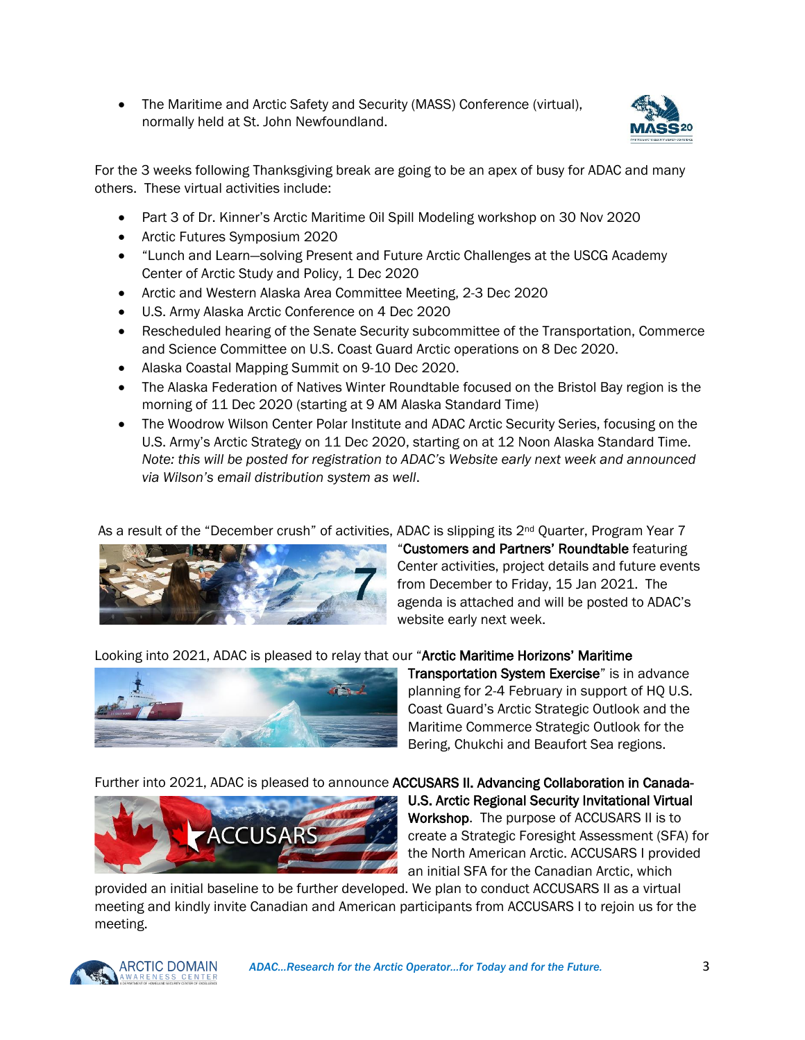• The Maritime and Arctic Safety and Security (MASS) Conference (virtual), normally held at St. John Newfoundland.



For the 3 weeks following Thanksgiving break are going to be an apex of busy for ADAC and many others. These virtual activities include:

- Part 3 of Dr. Kinner's Arctic Maritime Oil Spill Modeling workshop on 30 Nov 2020
- Arctic Futures Symposium 2020
- "Lunch and Learn—solving Present and Future Arctic Challenges at the USCG Academy Center of Arctic Study and Policy, 1 Dec 2020
- Arctic and Western Alaska Area Committee Meeting, 2-3 Dec 2020
- U.S. Army Alaska Arctic Conference on 4 Dec 2020
- Rescheduled hearing of the Senate Security subcommittee of the Transportation, Commerce and Science Committee on U.S. Coast Guard Arctic operations on 8 Dec 2020.
- Alaska Coastal Mapping Summit on 9-10 Dec 2020.
- The Alaska Federation of Natives Winter Roundtable focused on the Bristol Bay region is the morning of 11 Dec 2020 (starting at 9 AM Alaska Standard Time)
- The Woodrow Wilson Center Polar Institute and ADAC Arctic Security Series, focusing on the U.S. Army's Arctic Strategy on 11 Dec 2020, starting on at 12 Noon Alaska Standard Time. *Note: this will be posted for registration to ADAC's Website early next week and announced via Wilson's email distribution system as well*.

As a result of the "December crush" of activities, ADAC is slipping its 2<sup>nd</sup> Quarter, Program Year 7



"Customers and Partners' Roundtable featuring Center activities, project details and future events from December to Friday, 15 Jan 2021. The agenda is attached and will be posted to ADAC's website early next week.

Looking into 2021, ADAC is pleased to relay that our "Arctic Maritime Horizons' Maritime



Transportation System Exercise" is in advance planning for 2-4 February in support of HQ U.S. Coast Guard's Arctic Strategic Outlook and the Maritime Commerce Strategic Outlook for the Bering, Chukchi and Beaufort Sea regions.

Further into 2021, ADAC is pleased to announce ACCUSARS II. Advancing Collaboration in Canada-



U.S. Arctic Regional Security Invitational Virtual Workshop. The purpose of ACCUSARS II is to create a Strategic Foresight Assessment (SFA) for the North American Arctic. ACCUSARS I provided an initial SFA for the Canadian Arctic, which

provided an initial baseline to be further developed. We plan to conduct ACCUSARS II as a virtual meeting and kindly invite Canadian and American participants from ACCUSARS I to rejoin us for the meeting.